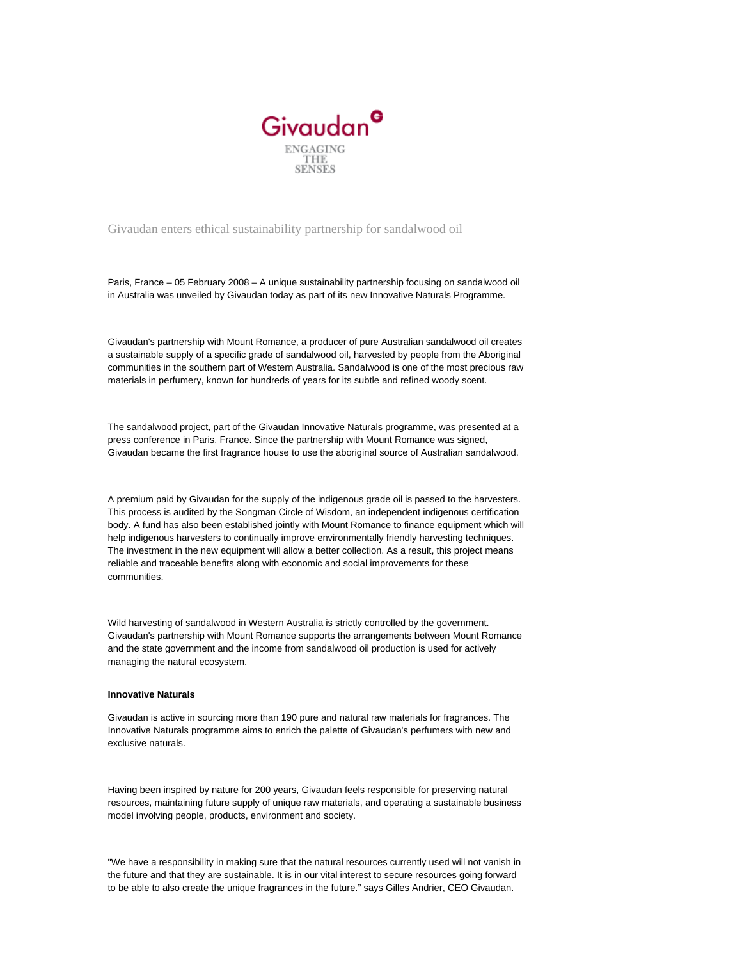

## Givaudan enters ethical sustainability partnership for sandalwood oil

Paris, France – 05 February 2008 – A unique sustainability partnership focusing on sandalwood oil in Australia was unveiled by Givaudan today as part of its new Innovative Naturals Programme.

Givaudan's partnership with Mount Romance, a producer of pure Australian sandalwood oil creates a sustainable supply of a specific grade of sandalwood oil, harvested by people from the Aboriginal communities in the southern part of Western Australia. Sandalwood is one of the most precious raw materials in perfumery, known for hundreds of years for its subtle and refined woody scent.

The sandalwood project, part of the Givaudan Innovative Naturals programme, was presented at a press conference in Paris, France. Since the partnership with Mount Romance was signed, Givaudan became the first fragrance house to use the aboriginal source of Australian sandalwood.

A premium paid by Givaudan for the supply of the indigenous grade oil is passed to the harvesters. This process is audited by the Songman Circle of Wisdom, an independent indigenous certification body. A fund has also been established jointly with Mount Romance to finance equipment which will help indigenous harvesters to continually improve environmentally friendly harvesting techniques. The investment in the new equipment will allow a better collection. As a result, this project means reliable and traceable benefits along with economic and social improvements for these communities.

Wild harvesting of sandalwood in Western Australia is strictly controlled by the government. Givaudan's partnership with Mount Romance supports the arrangements between Mount Romance and the state government and the income from sandalwood oil production is used for actively managing the natural ecosystem.

## **Innovative Naturals**

Givaudan is active in sourcing more than 190 pure and natural raw materials for fragrances. The Innovative Naturals programme aims to enrich the palette of Givaudan's perfumers with new and exclusive naturals.

Having been inspired by nature for 200 years, Givaudan feels responsible for preserving natural resources, maintaining future supply of unique raw materials, and operating a sustainable business model involving people, products, environment and society.

"We have a responsibility in making sure that the natural resources currently used will not vanish in the future and that they are sustainable. It is in our vital interest to secure resources going forward to be able to also create the unique fragrances in the future." says Gilles Andrier, CEO Givaudan.